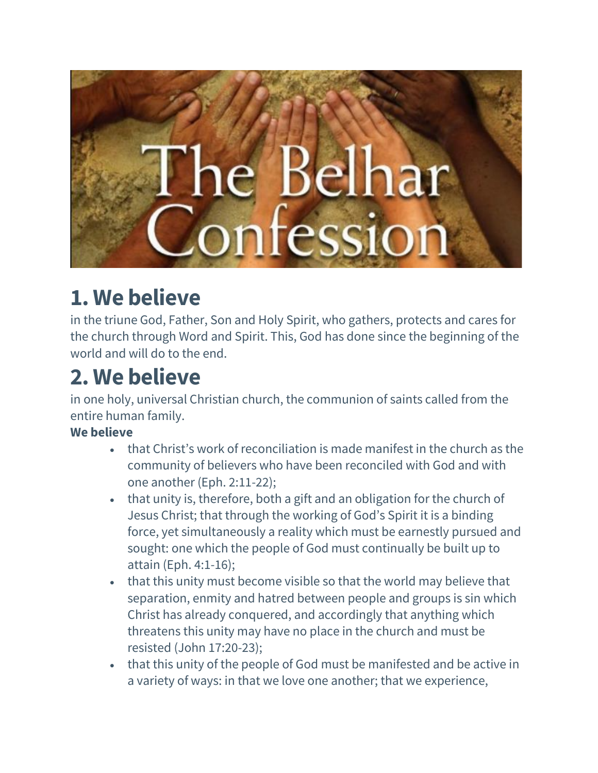

## **1. We believe**

in the triune God, Father, Son and Holy Spirit, who gathers, protects and cares for the church through Word and Spirit. This, God has done since the beginning of the world and will do to the end.

## **2. We believe**

in one holy, universal Christian church, the communion of saints called from the entire human family.

#### **We believe**

- that Christ's work of reconciliation is made manifest in the church as the community of believers who have been reconciled with God and with one another (Eph. 2:11-22);
- that unity is, therefore, both a gift and an obligation for the church of Jesus Christ; that through the working of God's Spirit it is a binding force, yet simultaneously a reality which must be earnestly pursued and sought: one which the people of God must continually be built up to attain (Eph. 4:1-16);
- that this unity must become visible so that the world may believe that separation, enmity and hatred between people and groups is sin which Christ has already conquered, and accordingly that anything which threatens this unity may have no place in the church and must be resisted (John 17:20-23);
- that this unity of the people of God must be manifested and be active in a variety of ways: in that we love one another; that we experience,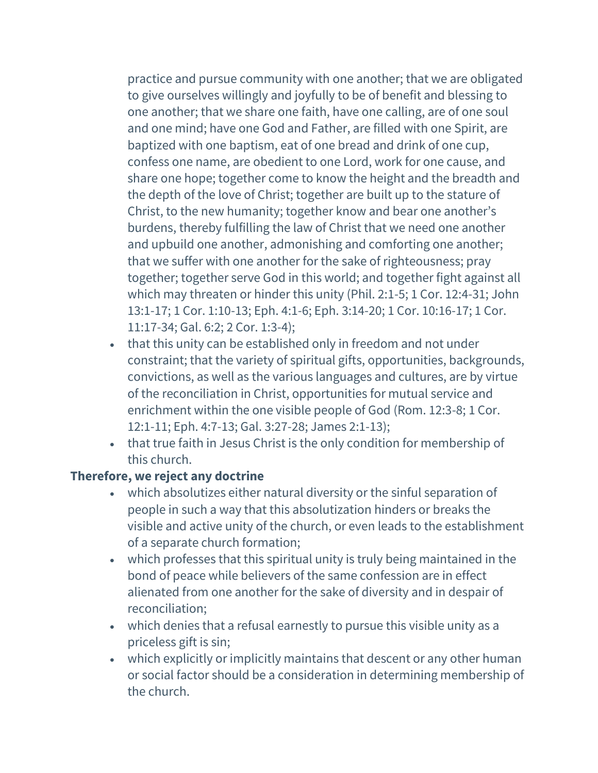practice and pursue community with one another; that we are obligated to give ourselves willingly and joyfully to be of benefit and blessing to one another; that we share one faith, have one calling, are of one soul and one mind; have one God and Father, are filled with one Spirit, are baptized with one baptism, eat of one bread and drink of one cup, confess one name, are obedient to one Lord, work for one cause, and share one hope; together come to know the height and the breadth and the depth of the love of Christ; together are built up to the stature of Christ, to the new humanity; together know and bear one another's burdens, thereby fulfilling the law of Christ that we need one another and upbuild one another, admonishing and comforting one another; that we suffer with one another for the sake of righteousness; pray together; together serve God in this world; and together fight against all which may threaten or hinder this unity (Phil. 2:1-5; 1 Cor. 12:4-31; John 13:1-17; 1 Cor. 1:10-13; Eph. 4:1-6; Eph. 3:14-20; 1 Cor. 10:16-17; 1 Cor. 11:17-34; Gal. 6:2; 2 Cor. 1:3-4);

- that this unity can be established only in freedom and not under constraint; that the variety of spiritual gifts, opportunities, backgrounds, convictions, as well as the various languages and cultures, are by virtue of the reconciliation in Christ, opportunities for mutual service and enrichment within the one visible people of God (Rom. 12:3-8; 1 Cor. 12:1-11; Eph. 4:7-13; Gal. 3:27-28; James 2:1-13);
- that true faith in Jesus Christ is the only condition for membership of this church.

#### **Therefore, we reject any doctrine**

- which absolutizes either natural diversity or the sinful separation of people in such a way that this absolutization hinders or breaks the visible and active unity of the church, or even leads to the establishment of a separate church formation;
- which professes that this spiritual unity is truly being maintained in the bond of peace while believers of the same confession are in effect alienated from one another for the sake of diversity and in despair of reconciliation;
- which denies that a refusal earnestly to pursue this visible unity as a priceless gift is sin;
- which explicitly or implicitly maintains that descent or any other human or social factor should be a consideration in determining membership of the church.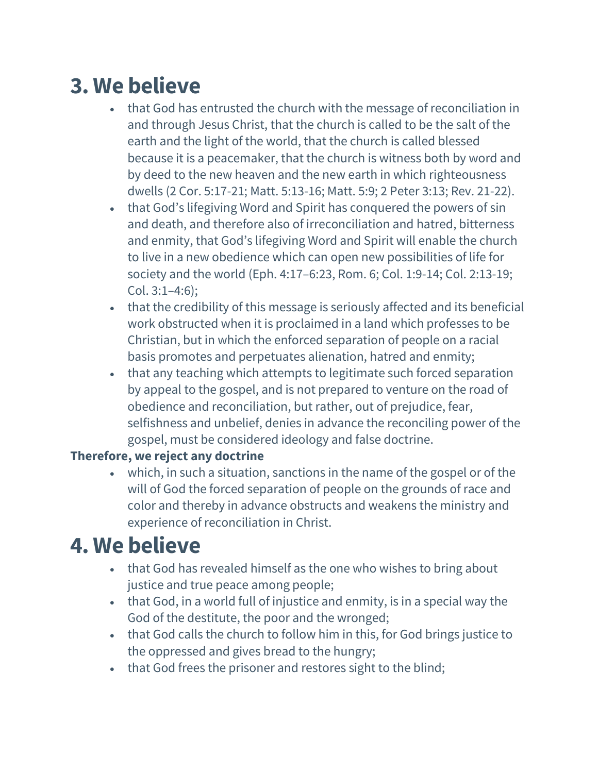### **3. We believe**

- that God has entrusted the church with the message of reconciliation in and through Jesus Christ, that the church is called to be the salt of the earth and the light of the world, that the church is called blessed because it is a peacemaker, that the church is witness both by word and by deed to the new heaven and the new earth in which righteousness dwells (2 Cor. 5:17-21; Matt. 5:13-16; Matt. 5:9; 2 Peter 3:13; Rev. 21-22).
- that God's lifegiving Word and Spirit has conquered the powers of sin and death, and therefore also of irreconciliation and hatred, bitterness and enmity, that God's lifegiving Word and Spirit will enable the church to live in a new obedience which can open new possibilities of life for society and the world (Eph. 4:17–6:23, Rom. 6; Col. 1:9-14; Col. 2:13-19; Col. 3:1–4:6);
- that the credibility of this message is seriously affected and its beneficial work obstructed when it is proclaimed in a land which professes to be Christian, but in which the enforced separation of people on a racial basis promotes and perpetuates alienation, hatred and enmity;
- that any teaching which attempts to legitimate such forced separation by appeal to the gospel, and is not prepared to venture on the road of obedience and reconciliation, but rather, out of prejudice, fear, selfishness and unbelief, denies in advance the reconciling power of the gospel, must be considered ideology and false doctrine.

#### **Therefore, we reject any doctrine**

• which, in such a situation, sanctions in the name of the gospel or of the will of God the forced separation of people on the grounds of race and color and thereby in advance obstructs and weakens the ministry and experience of reconciliation in Christ.

### **4. We believe**

- that God has revealed himself as the one who wishes to bring about justice and true peace among people;
- that God, in a world full of injustice and enmity, is in a special way the God of the destitute, the poor and the wronged;
- that God calls the church to follow him in this, for God brings justice to the oppressed and gives bread to the hungry;
- that God frees the prisoner and restores sight to the blind;